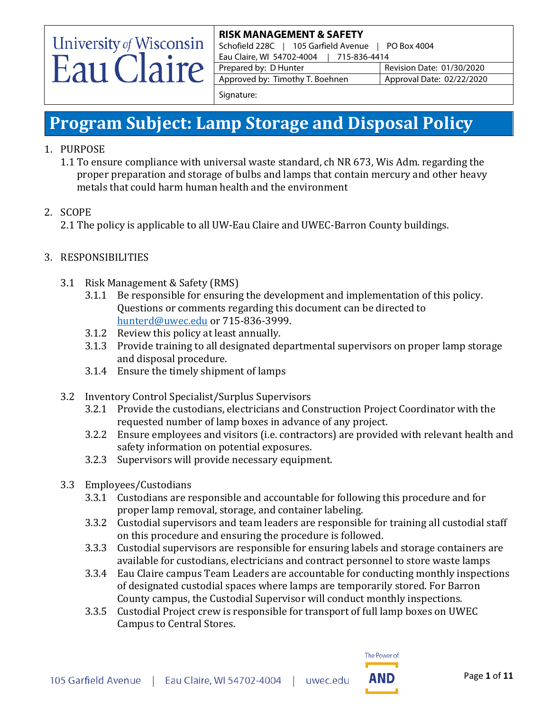# University of Wisconsin Eau Claire

### **RISK MANAGEMENT & SAFETY**

Schofield 228C | 105 Garfield Avenue | PO Box 4004 Eau Claire, WI 54702-4004 | 715-836-4414 Prepared by: D Hunter Revision Date: 01/30/2020 Approved by: Timothy T. Boehnen | Approval Date: 02/22/2020

Signature:

### **Program Subject: Lamp Storage and Disposal Policy**

- 1. PURPOSE
	- 1.1 To ensure compliance with universal waste standard, ch NR 673, Wis Adm. regarding the proper preparation and storage of bulbs and lamps that contain mercury and other heavy metals that could harm human health and the environment
- 2. SCOPE

2.1 The policy is applicable to all UW-Eau Claire and UWEC-Barron County buildings.

### 3. RESPONSIBILITIES

- 3.1 Risk Management & Safety (RMS)
	- 3.1.1 Be responsible for ensuring the development and implementation of this policy. Questions or comments regarding this document can be directed to [hunterd@uwec.edu](mailto:hunterd@uwec.edu) or 715-836-3999.
	- 3.1.2 Review this policy at least annually.
	- 3.1.3 Provide training to all designated departmental supervisors on proper lamp storage and disposal procedure.
	- 3.1.4 Ensure the timely shipment of lamps
- 3.2 Inventory Control Specialist/Surplus Supervisors
	- 3.2.1 Provide the custodians, electricians and Construction Project Coordinator with the requested number of lamp boxes in advance of any project.
	- 3.2.2 Ensure employees and visitors (i.e. contractors) are provided with relevant health and safety information on potential exposures.
	- 3.2.3 Supervisors will provide necessary equipment.
- 3.3 Employees/Custodians
	- 3.3.1 Custodians are responsible and accountable for following this procedure and for proper lamp removal, storage, and container labeling.
	- 3.3.2 Custodial supervisors and team leaders are responsible for training all custodial staff on this procedure and ensuring the procedure is followed.
	- 3.3.3 Custodial supervisors are responsible for ensuring labels and storage containers are available for custodians, electricians and contract personnel to store waste lamps
	- 3.3.4 Eau Claire campus Team Leaders are accountable for conducting monthly inspections of designated custodial spaces where lamps are temporarily stored. For Barron County campus, the Custodial Supervisor will conduct monthly inspections.
	- 3.3.5 Custodial Project crew is responsible for transport of full lamp boxes on UWEC Campus to Central Stores.

The Power of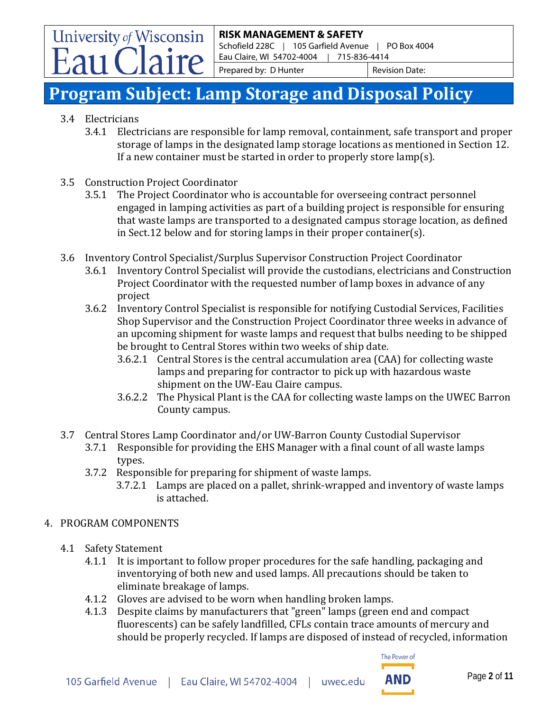Schofield 228C | 105 Garfield Avenue | PO Box 4004 Eau Claire, WI 54702-4004 | 715-836-4414

Prepared by: D Hunter Revision Date:

# **Program Subject: Lamp Storage and Disposal Policy**

3.4 Electricians

University of Wisconsin

- 3.4.1 Electricians are responsible for lamp removal, containment, safe transport and proper storage of lamps in the designated lamp storage locations as mentioned in Section 12. If a new container must be started in order to properly store lamp(s).
- 3.5 Construction Project Coordinator<br>3.5.1 The Project Coordinator wl
	- The Project Coordinator who is accountable for overseeing contract personnel engaged in lamping activities as part of a building project is responsible for ensuring that waste lamps are transported to a designated campus storage location, as defined in Sect.12 below and for storing lamps in their proper container(s).
- 3.6 Inventory Control Specialist/Surplus Supervisor Construction Project Coordinator
	- 3.6.1 Inventory Control Specialist will provide the custodians, electricians and Construction Project Coordinator with the requested number of lamp boxes in advance of any project
	- 3.6.2 Inventory Control Specialist is responsible for notifying Custodial Services, Facilities Shop Supervisor and the Construction Project Coordinator three weeks in advance of an upcoming shipment for waste lamps and request that bulbs needing to be shipped be brought to Central Stores within two weeks of ship date.
		- 3.6.2.1 Central Stores is the central accumulation area (CAA) for collecting waste lamps and preparing for contractor to pick up with hazardous waste shipment on the UW-Eau Claire campus.
		- 3.6.2.2 The Physical Plant is the CAA for collecting waste lamps on the UWEC Barron County campus.
- 3.7 Central Stores Lamp Coordinator and/or UW-Barron County Custodial Supervisor
	- Responsible for providing the EHS Manager with a final count of all waste lamps types.
	- 3.7.2 Responsible for preparing for shipment of waste lamps.
		- 3.7.2.1 Lamps are placed on a pallet, shrink-wrapped and inventory of waste lamps is attached.

#### 4. PROGRAM COMPONENTS

- 4.1 Safety Statement
	- 4.1.1 It is important to follow proper procedures for the safe handling, packaging and inventorying of both new and used lamps. All precautions should be taken to eliminate breakage of lamps.
	- 4.1.2 Gloves are advised to be worn when handling broken lamps.
	- 4.1.3 Despite claims by manufacturers that "green" lamps (green end and compact fluorescents) can be safely landfilled, CFLs contain trace amounts of mercury and should be properly recycled. If lamps are disposed of instead of recycled, information

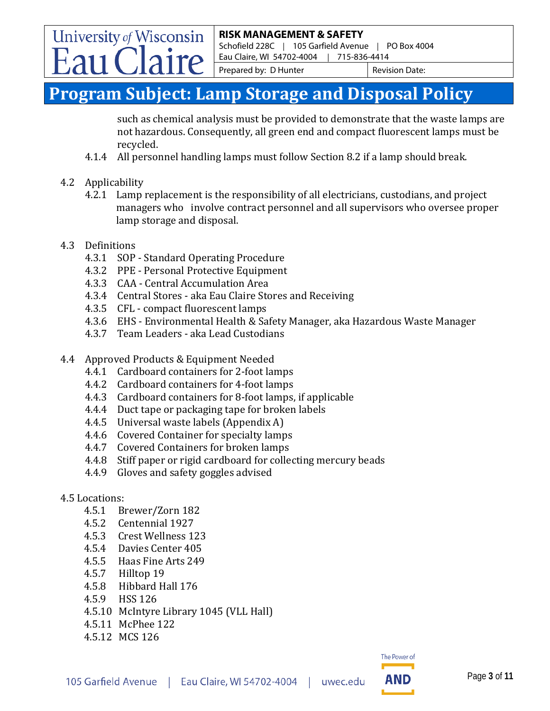Schofield 228C | 105 Garfield Avenue | PO Box 4004 Eau Claire, WI 54702-4004 | 715-836-4414

Prepared by: D Hunter Revision Date:

# **Program Subject: Lamp Storage and Disposal Policy**

such as chemical analysis must be provided to demonstrate that the waste lamps are not hazardous. Consequently, all green end and compact fluorescent lamps must be recycled.

- 4.1.4 All personnel handling lamps must follow Section 8.2 if a lamp should break.
- 4.2 Applicability

University of Wisconsin

- 4.2.1 Lamp replacement is the responsibility of all electricians, custodians, and project managers who involve contract personnel and all supervisors who oversee proper lamp storage and disposal.
- 4.3 Definitions
	- 4.3.1 SOP Standard Operating Procedure
	- 4.3.2 PPE Personal Protective Equipment
	- 4.3.3 CAA Central Accumulation Area
	- 4.3.4 Central Stores aka Eau Claire Stores and Receiving
	- 4.3.5 CFL compact fluorescent lamps
	- 4.3.6 EHS Environmental Health & Safety Manager, aka Hazardous Waste Manager
	- 4.3.7 Team Leaders aka Lead Custodians
- 4.4 Approved Products & Equipment Needed
	- 4.4.1 Cardboard containers for 2-foot lamps
	- 4.4.2 Cardboard containers for 4-foot lamps
	- 4.4.3 Cardboard containers for 8-foot lamps, if applicable
	- 4.4.4 Duct tape or packaging tape for broken labels
	- 4.4.5 Universal waste labels (Appendix A)
	- 4.4.6 Covered Container for specialty lamps
	- 4.4.7 Covered Containers for broken lamps<br>4.4.8 Stiff paper or rigid cardboard for colle
	- Stiff paper or rigid cardboard for collecting mercury beads
	- 4.4.9 Gloves and safety goggles advised

### 4.5 Locations:

- 4.5.1 Brewer/Zorn 182
- 4.5.2 Centennial 1927<br>4.5.3 Crest Wellness 1
- 4.5.3 Crest Wellness 123
- 4.5.4 Davies Center 405<br>4.5.5 Haas Fine Arts 249
- Haas Fine Arts 249
- 4.5.7 Hilltop 19
- 4.5.8 Hibbard Hall 176
- 4.5.9 HSS 126
- 4.5.10 McIntyre Library 1045 (VLL Hall)
- 4.5.11 McPhee 122
- 4.5.12 MCS 126

The Power of

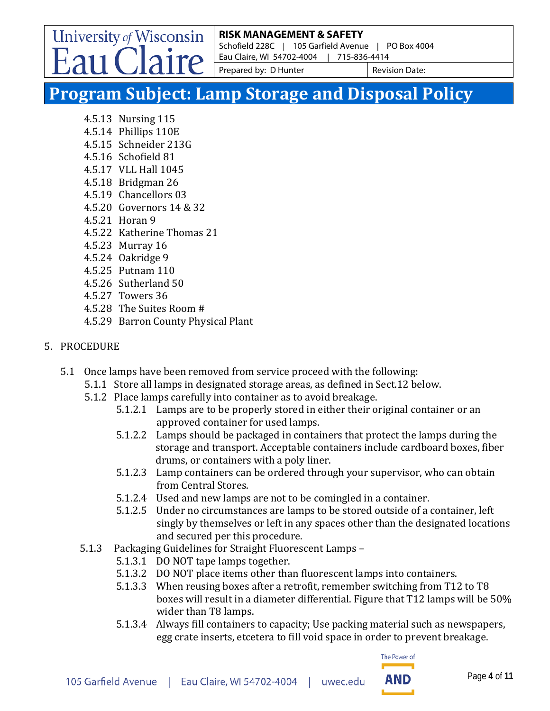Schofield 228C | 105 Garfield Avenue | PO Box 4004 Eau Claire, WI 54702-4004 | 715-836-4414

Prepared by: D Hunter Revision Date:

# **Program Subject: Lamp Storage and Disposal Policy**

4.5.13 Nursing 115

University of Wisconsin

- 4.5.14 Phillips 110E
- 4.5.15 Schneider 213G
- 4.5.16 Schofield 81
- 4.5.17 VLL Hall 1045
- 4.5.18 Bridgman 26
- 4.5.19 Chancellors 03
- 4.5.20 Governors 14 & 32
- 4.5.21 Horan 9
- 4.5.22 Katherine Thomas 21
- 4.5.23 Murray 16
- 4.5.24 Oakridge 9
- 4.5.25 Putnam 110
- 4.5.26 Sutherland 50
- 4.5.27 Towers 36
- 4.5.28 The Suites Room #
- 4.5.29 Barron County Physical Plant

### 5. PROCEDURE

- 5.1 Once lamps have been removed from service proceed with the following:
	- 5.1.1 Store all lamps in designated storage areas, as defined in Sect.12 below.
	- 5.1.2 Place lamps carefully into container as to avoid breakage.
		- 5.1.2.1 Lamps are to be properly stored in either their original container or an approved container for used lamps.
		- 5.1.2.2 Lamps should be packaged in containers that protect the lamps during the storage and transport. Acceptable containers include cardboard boxes, fiber drums, or containers with a poly liner.
		- 5.1.2.3 Lamp containers can be ordered through your supervisor, who can obtain from Central Stores.
		- 5.1.2.4 Used and new lamps are not to be comingled in a container.
		- 5.1.2.5 Under no circumstances are lamps to be stored outside of a container, left singly by themselves or left in any spaces other than the designated locations and secured per this procedure.
	- 5.1.3 Packaging Guidelines for Straight Fluorescent Lamps
		- 5.1.3.1 DO NOT tape lamps together.
		- 5.1.3.2 DO NOT place items other than fluorescent lamps into containers.
		- 5.1.3.3 When reusing boxes after a retrofit, remember switching from T12 to T8 boxes will result in a diameter differential. Figure that T12 lamps will be 50% wider than T8 lamps.
		- 5.1.3.4 Always fill containers to capacity; Use packing material such as newspapers, egg crate inserts, etcetera to fill void space in order to prevent breakage.

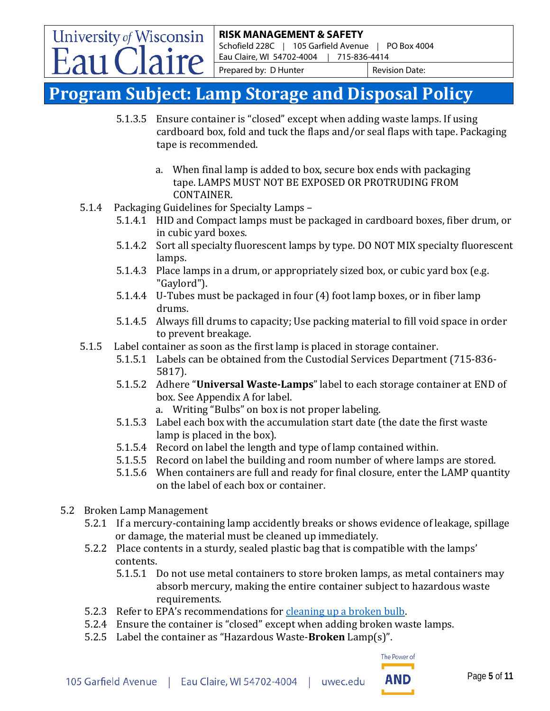Schofield 228C | 105 Garfield Avenue | PO Box 4004 Eau Claire, WI 54702-4004 | 715-836-4414

Prepared by: D Hunter Revision Date:

# **Program Subject: Lamp Storage and Disposal Policy**

- 5.1.3.5 Ensure container is "closed" except when adding waste lamps. If using cardboard box, fold and tuck the flaps and/or seal flaps with tape. Packaging tape is recommended.
	- a. When final lamp is added to box, secure box ends with packaging tape. LAMPS MUST NOT BE EXPOSED OR PROTRUDING FROM CONTAINER.
- 5.1.4 Packaging Guidelines for Specialty Lamps
	- 5.1.4.1 HID and Compact lamps must be packaged in cardboard boxes, fiber drum, or in cubic yard boxes.
	- 5.1.4.2 Sort all specialty fluorescent lamps by type. DO NOT MIX specialty fluorescent lamps.
	- 5.1.4.3 Place lamps in a drum, or appropriately sized box, or cubic yard box (e.g. "Gaylord").
	- 5.1.4.4 U-Tubes must be packaged in four (4) foot lamp boxes, or in fiber lamp drums.
	- 5.1.4.5 Always fill drums to capacity; Use packing material to fill void space in order to prevent breakage.
- 5.1.5 Label container as soon as the first lamp is placed in storage container.
	- 5.1.5.1 Labels can be obtained from the Custodial Services Department (715-836- 5817).
	- 5.1.5.2 Adhere "**Universal Waste-Lamps**" label to each storage container at END of box. See Appendix A for label.
		- a. Writing "Bulbs" on box is not proper labeling.
	- 5.1.5.3 Label each box with the accumulation start date (the date the first waste lamp is placed in the box).
	- 5.1.5.4 Record on label the length and type of lamp contained within.
	- 5.1.5.5 Record on label the building and room number of where lamps are stored.
	- 5.1.5.6 When containers are full and ready for final closure, enter the LAMP quantity on the label of each box or container.
- 5.2 Broken Lamp Management

University of Wisconsin

- 5.2.1 If a mercury-containing lamp accidently breaks or shows evidence of leakage, spillage or damage, the material must be cleaned up immediately.
- 5.2.2 Place contents in a sturdy, sealed plastic bag that is compatible with the lamps' contents.
	- 5.1.5.1 Do not use metal containers to store broken lamps, as metal containers may absorb mercury, making the entire container subject to hazardous waste requirements.
- 5.2.3 Refer to EPA's recommendations for [cleaning up a broken bulb.](https://www.epa.gov/cfl/cleaning-broken-cfl)
- 5.2.4 Ensure the container is "closed" except when adding broken waste lamps.
- 5.2.5 Label the container as "Hazardous Waste-**Broken** Lamp(s)".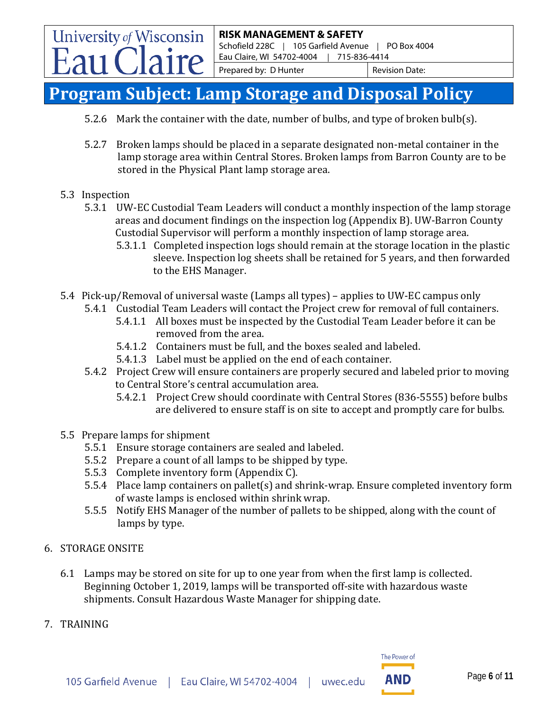Schofield 228C | 105 Garfield Avenue | PO Box 4004 Eau Claire, WI 54702-4004 | 715-836-4414

Prepared by: D Hunter Revision Date:

# **Program Subject: Lamp Storage and Disposal Policy**

- 5.2.6 Mark the container with the date, number of bulbs, and type of broken bulb(s).
- 5.2.7 Broken lamps should be placed in a separate designated non-metal container in the lamp storage area within Central Stores. Broken lamps from Barron County are to be stored in the Physical Plant lamp storage area.
- 5.3 Inspection

University of Wisconsin

- 5.3.1 UW-EC Custodial Team Leaders will conduct a monthly inspection of the lamp storage areas and document findings on the inspection log (Appendix B). UW-Barron County Custodial Supervisor will perform a monthly inspection of lamp storage area.
	- 5.3.1.1 Completed inspection logs should remain at the storage location in the plastic sleeve. Inspection log sheets shall be retained for 5 years, and then forwarded to the EHS Manager.
- 5.4 Pick-up/Removal of universal waste (Lamps all types) applies to UW-EC campus only
	- 5.4.1 Custodial Team Leaders will contact the Project crew for removal of full containers. 5.4.1.1 All boxes must be inspected by the Custodial Team Leader before it can be removed from the area.
		- 5.4.1.2 Containers must be full, and the boxes sealed and labeled.
		- 5.4.1.3 Label must be applied on the end of each container.
	- 5.4.2 Project Crew will ensure containers are properly secured and labeled prior to moving to Central Store's central accumulation area.
		- 5.4.2.1 Project Crew should coordinate with Central Stores (836-5555) before bulbs are delivered to ensure staff is on site to accept and promptly care for bulbs.
- 5.5 Prepare lamps for shipment
	- 5.5.1 Ensure storage containers are sealed and labeled.
	- 5.5.2 Prepare a count of all lamps to be shipped by type.
	- 5.5.3 Complete inventory form (Appendix C).
	- 5.5.4 Place lamp containers on pallet(s) and shrink-wrap. Ensure completed inventory form of waste lamps is enclosed within shrink wrap.<br>5.5.5 Notify EHS Manager of the number of pallets to
	- 5.5.5 Notify EHS Manager of the number of pallets to be shipped, along with the count of lamps by type.
- 6. STORAGE ONSITE
	- 6.1 Lamps may be stored on site for up to one year from when the first lamp is collected. Beginning October 1, 2019, lamps will be transported off-site with hazardous waste shipments. Consult Hazardous Waste Manager for shipping date.
- 7. TRAINING

The Power of

AND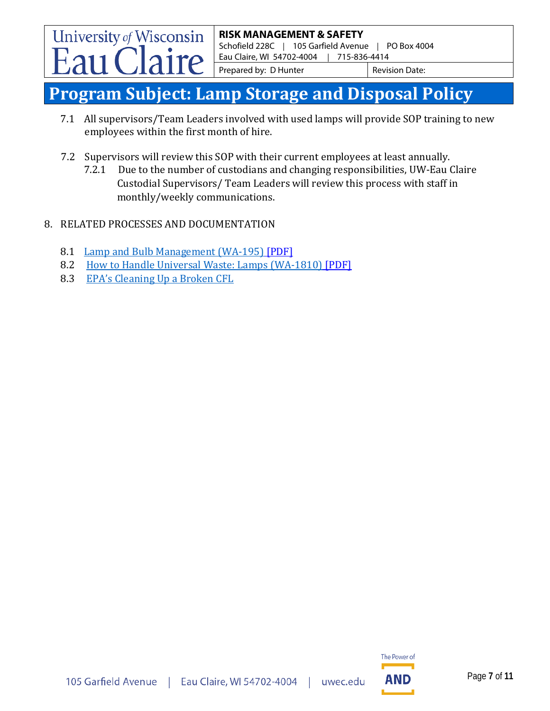Schofield 228C | 105 Garfield Avenue | PO Box 4004 Eau Claire, WI 54702-4004 | 715-836-4414

Prepared by: D Hunter Revision Date:

# **Program Subject: Lamp Storage and Disposal Policy**

- 7.1 All supervisors/Team Leaders involved with used lamps will provide SOP training to new employees within the first month of hire.
- 7.2 Supervisors will review this SOP with their current employees at least annually.<br>7.2.1 Due to the number of custodians and changing responsibilities. UW-Eau (
	- 7.2.1 Due to the number of custodians and changing responsibilities, UW-Eau Claire Custodial Supervisors/ Team Leaders will review this process with staff in monthly/weekly communications.
- 8. RELATED PROCESSES AND DOCUMENTATION
	- 8.1 [Lamp and Bulb Management \(WA-195\)](https://dnr.wi.gov/files/PDF/pubs/wa/WA195.pdf) [PDF]
	- 8.2 [How to Handle Universal Waste: Lamps \(WA-1810\)](https://dnr.wi.gov/files/PDF/pubs/wa/WA1810.pdf) [PDF]
	- 8.3 [EPA's Cleaning Up a Broken CFL](https://www.epa.gov/cfl/cleaning-broken-cfl)

University of Wisconsin

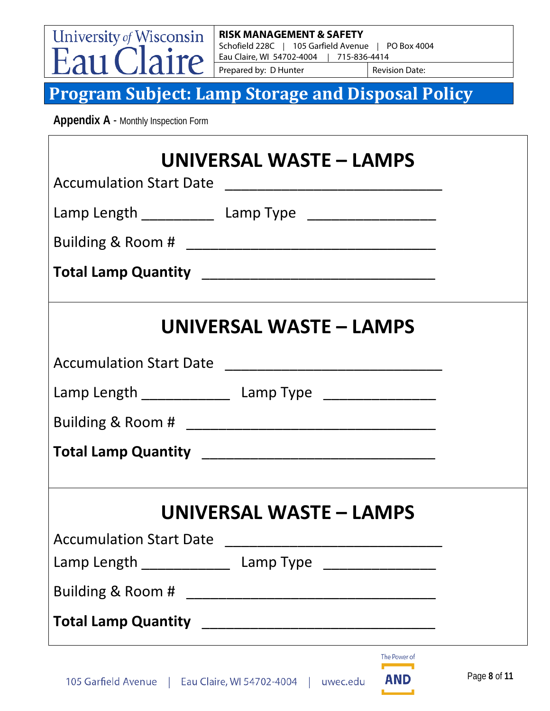University of Wisconsin ire

#### **RISK MANAGEMENT & SAFETY**

Schofield 228C | 105 Garfield Avenue | PO Box 4004 Eau Claire, WI 54702-4004 | 715-836-4414

Prepared by: D Hunter Revision Date:

**Program Subject: Lamp Storage and Disposal Policy**

 **Appendix A** - Monthly Inspection Form

|                                                            | UNIVERSAL WASTE – LAMPS                                    |              |
|------------------------------------------------------------|------------------------------------------------------------|--------------|
|                                                            | Lamp Length _____________ Lamp Type ___________________    |              |
|                                                            |                                                            |              |
|                                                            |                                                            |              |
|                                                            | UNIVERSAL WASTE - LAMPS                                    |              |
|                                                            |                                                            |              |
|                                                            | Lamp Length _________________ Lamp Type __________________ |              |
|                                                            |                                                            |              |
|                                                            |                                                            |              |
| <b>Accumulation Start Date</b>                             | UNIVERSAL WASTE - LAMPS                                    |              |
| Lamp Length ____________                                   | Lamp Type _______________                                  |              |
|                                                            |                                                            |              |
| <b>Total Lamp Quantity</b>                                 |                                                            |              |
| 105 Garfield Avenue   Eau Claire, WI 54702-4004   uwec.edu | The Power of<br><b>AND</b>                                 | Page 8 of 11 |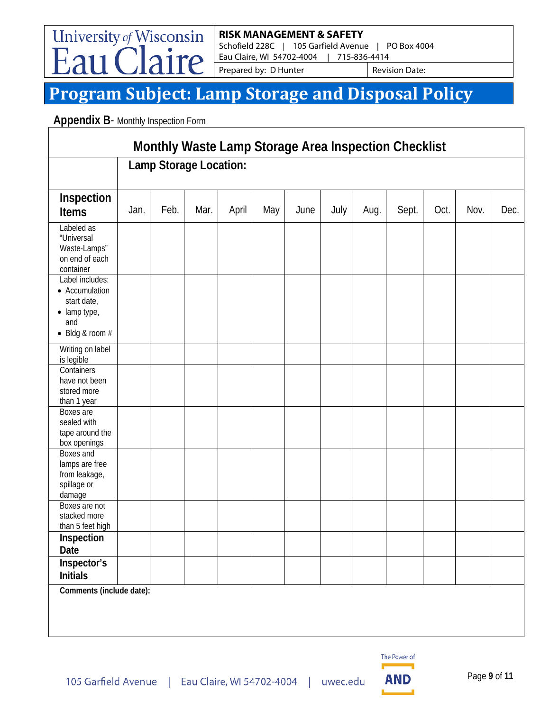Schofield 228C | 105 Garfield Avenue | PO Box 4004 Eau Claire, WI 54702-4004 | 715-836-4414

Prepared by: D Hunter Revision Date:

# **Program Subject: Lamp Storage and Disposal Policy**

**Appendix B- Monthly Inspection Form** 

University of Wisconsin

 $\mathsf{r}\rho$ 

| Monthly Waste Lamp Storage Area Inspection Checklist                                                 |                        |      |      |       |     |      |      |      |       |      |      |      |
|------------------------------------------------------------------------------------------------------|------------------------|------|------|-------|-----|------|------|------|-------|------|------|------|
|                                                                                                      | Lamp Storage Location: |      |      |       |     |      |      |      |       |      |      |      |
| Inspection<br><b>Items</b>                                                                           | Jan.                   | Feb. | Mar. | April | May | June | July | Aug. | Sept. | Oct. | Nov. | Dec. |
| Labeled as<br>"Universal<br>Waste-Lamps"<br>on end of each<br>container                              |                        |      |      |       |     |      |      |      |       |      |      |      |
| Label includes:<br>• Accumulation<br>start date,<br>$\bullet$ lamp type,<br>and<br>• Bldg & room $#$ |                        |      |      |       |     |      |      |      |       |      |      |      |
| Writing on label<br>is legible                                                                       |                        |      |      |       |     |      |      |      |       |      |      |      |
| Containers<br>have not been<br>stored more<br>than 1 year                                            |                        |      |      |       |     |      |      |      |       |      |      |      |
| Boxes are<br>sealed with<br>tape around the<br>box openings                                          |                        |      |      |       |     |      |      |      |       |      |      |      |
| Boxes and<br>lamps are free<br>from leakage,<br>spillage or<br>damage                                |                        |      |      |       |     |      |      |      |       |      |      |      |
| Boxes are not<br>stacked more<br>than 5 feet high                                                    |                        |      |      |       |     |      |      |      |       |      |      |      |
| Inspection<br>Date                                                                                   |                        |      |      |       |     |      |      |      |       |      |      |      |
| Inspector's<br><b>Initials</b>                                                                       |                        |      |      |       |     |      |      |      |       |      |      |      |
| Comments (include date):                                                                             |                        |      |      |       |     |      |      |      |       |      |      |      |

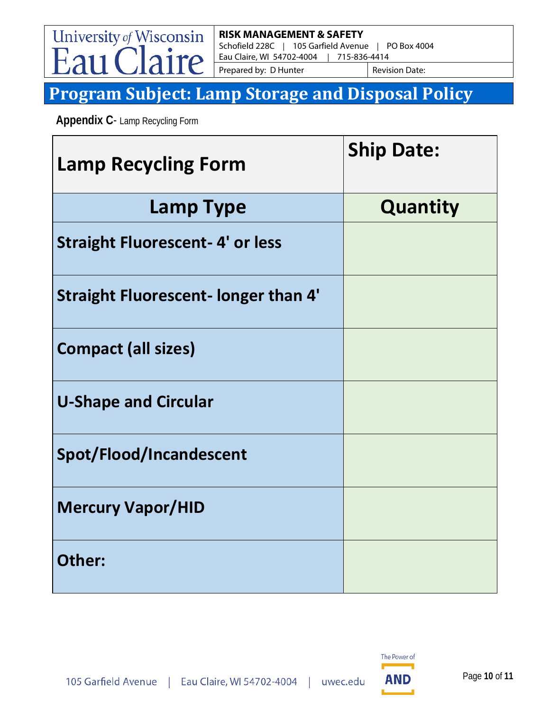University of Wisconsin ire

### **RISK MANAGEMENT & SAFETY**

Schofield 228C | 105 Garfield Avenue | PO Box 4004 Eau Claire, WI 54702-4004 | 715-836-4414

Prepared by: D Hunter Revision Date:

# **Program Subject: Lamp Storage and Disposal Policy**

 **Appendix C**- Lamp Recycling Form

| <b>Lamp Recycling Form</b>                  | <b>Ship Date:</b> |
|---------------------------------------------|-------------------|
| <b>Lamp Type</b>                            | Quantity          |
| <b>Straight Fluorescent-4' or less</b>      |                   |
| <b>Straight Fluorescent- longer than 4'</b> |                   |
| <b>Compact (all sizes)</b>                  |                   |
| <b>U-Shape and Circular</b>                 |                   |
| Spot/Flood/Incandescent                     |                   |
| <b>Mercury Vapor/HID</b>                    |                   |
| Other:                                      |                   |

uwec.edu